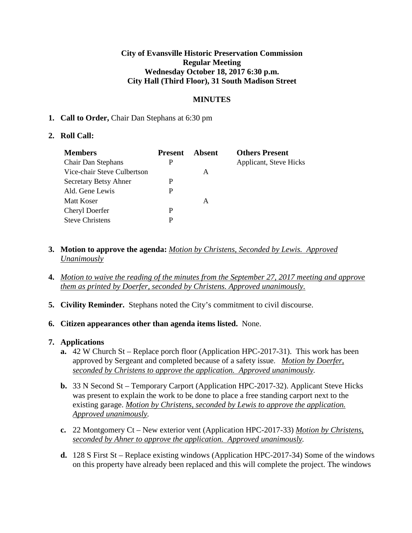### **City of Evansville Historic Preservation Commission Regular Meeting Wednesday October 18, 2017 6:30 p.m. City Hall (Third Floor), 31 South Madison Street**

### **MINUTES**

### **1. Call to Order,** Chair Dan Stephans at 6:30 pm

### **2. Roll Call:**

| <b>Members</b>              | <b>Present</b> | Absent | <b>Others Present</b>  |
|-----------------------------|----------------|--------|------------------------|
| Chair Dan Stephans          | P              |        | Applicant, Steve Hicks |
| Vice-chair Steve Culbertson |                | A      |                        |
| Secretary Betsy Ahner       | P              |        |                        |
| Ald. Gene Lewis             | P              |        |                        |
| Matt Koser                  |                | A      |                        |
| Cheryl Doerfer              | P              |        |                        |
| <b>Steve Christens</b>      | P              |        |                        |

- **3. Motion to approve the agenda:** *Motion by Christens, Seconded by Lewis. Approved Unanimously*
- **4.** *Motion to waive the reading of the minutes from the September 27, 2017 meeting and approve them as printed by Doerfer, seconded by Christens. Approved unanimously.*
- **5. Civility Reminder.** Stephans noted the City's commitment to civil discourse.
- **6. Citizen appearances other than agenda items listed.** None.

#### **7. Applications**

- **a.** 42 W Church St Replace porch floor (Application HPC-2017-31). This work has been approved by Sergeant and completed because of a safety issue. *Motion by Doerfer, seconded by Christens to approve the application. Approved unanimously.*
- **b.** 33 N Second St Temporary Carport (Application HPC-2017-32). Applicant Steve Hicks was present to explain the work to be done to place a free standing carport next to the existing garage. *Motion by Christens, seconded by Lewis to approve the application. Approved unanimously.*
- **c.** 22 Montgomery Ct New exterior vent (Application HPC-2017-33) *Motion by Christens, seconded by Ahner to approve the application. Approved unanimously.*
- **d.** 128 S First St Replace existing windows (Application HPC-2017-34) Some of the windows on this property have already been replaced and this will complete the project. The windows